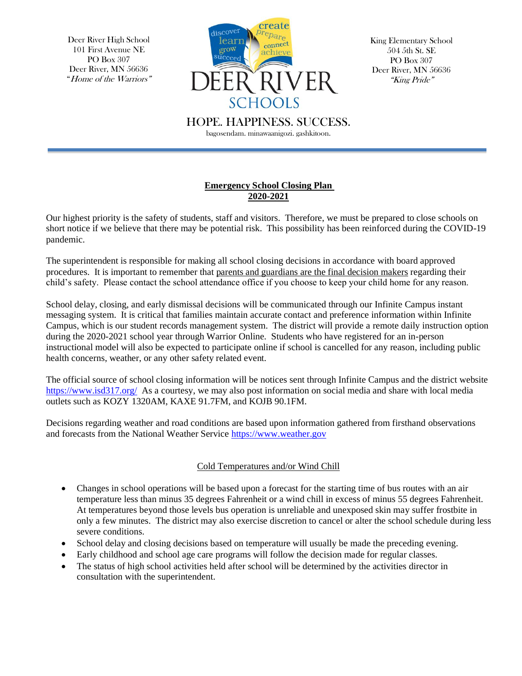Deer River High School 101 First Avenue NE PO Box 307 Deer River, MN 56636 "Home of the Warriors"



King Elementary School 504 5th St. SE PO Box 307 Deer River, MN 56636 "King Pride"

HOPE. HAPPINESS. SUCCESS.

bagosendam. minawaanigozi. gashkitoon.

## **Emergency School Closing Plan 2020-2021**

Our highest priority is the safety of students, staff and visitors. Therefore, we must be prepared to close schools on short notice if we believe that there may be potential risk. This possibility has been reinforced during the COVID-19 pandemic.

The superintendent is responsible for making all school closing decisions in accordance with board approved procedures. It is important to remember that parents and guardians are the final decision makers regarding their child's safety. Please contact the school attendance office if you choose to keep your child home for any reason.

School delay, closing, and early dismissal decisions will be communicated through our Infinite Campus instant messaging system. It is critical that families maintain accurate contact and preference information within Infinite Campus, which is our student records management system. The district will provide a remote daily instruction option during the 2020-2021 school year through Warrior Online. Students who have registered for an in-person instructional model will also be expected to participate online if school is cancelled for any reason, including public health concerns, weather, or any other safety related event.

The official source of school closing information will be notices sent through Infinite Campus and the district website <https://www.isd317.org/>As a courtesy, we may also post information on social media and share with local media outlets such as KOZY 1320AM, KAXE 91.7FM, and KOJB 90.1FM.

Decisions regarding weather and road conditions are based upon information gathered from firsthand observations and forecasts from the National Weather Service [https://www.weather.gov](https://www.weather.gov/)

## Cold Temperatures and/or Wind Chill

- Changes in school operations will be based upon a forecast for the starting time of bus routes with an air temperature less than minus 35 degrees Fahrenheit or a wind chill in excess of minus 55 degrees Fahrenheit. At temperatures beyond those levels bus operation is unreliable and unexposed skin may suffer frostbite in only a few minutes. The district may also exercise discretion to cancel or alter the school schedule during less severe conditions.
- School delay and closing decisions based on temperature will usually be made the preceding evening.
- Early childhood and school age care programs will follow the decision made for regular classes.
- The status of high school activities held after school will be determined by the activities director in consultation with the superintendent.